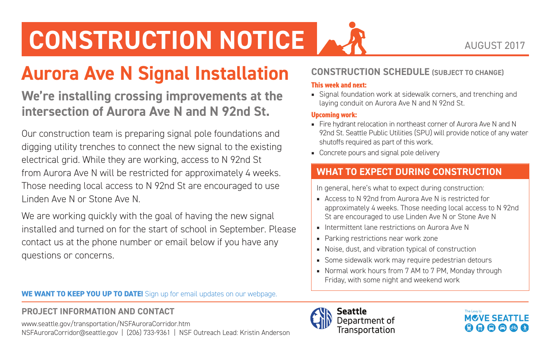## **CONSTRUCTION NOTICE**

### **Aurora Ave N Signal Installation**

**We're installing crossing improvements at the intersection of Aurora Ave N and N 92nd St.**

Our construction team is preparing signal pole foundations and digging utility trenches to connect the new signal to the existing electrical grid. While they are working, access to N 92nd St from Aurora Ave N will be restricted for approximately 4 weeks. Those needing local access to N 92nd St are encouraged to use Linden Ave N or Stone Ave N.

We are working quickly with the goal of having the new signal installed and turned on for the start of school in September. Please contact us at the phone number or email below if you have any questions or concerns.

**WE WANT TO KEEP YOU UP TO DATE!** Sign up for email updates on our webpage.

#### **PROJECT INFORMATION AND CONTACT**

[www.seattle.gov/transportation/NSFAuroraCorridor.htm](http://www.seattle.gov/transportation/NSFAuroraCorridor.htm) [NSFAuroraCorridor@seattle.gov](mailto:NSFAuroraCorridor@seattle.gov) | (206) 733-9361 | NSF Outreach Lead: Kristin Anderson

#### **CONSTRUCTION SCHEDULE (SUBJECT TO CHANGE)**

#### **This week and next:**

■ Signal foundation work at sidewalk corners, and trenching and laying conduit on Aurora Ave N and N 92nd St.

#### **Upcoming work:**

- Fire hydrant relocation in northeast corner of Aurora Ave N and N 92nd St. Seattle Public Utilities (SPU) will provide notice of any water shutoffs required as part of this work.
- Concrete pours and signal pole delivery

#### **WHAT TO EXPECT DURING CONSTRUCTION**

In general, here's what to expect during construction:

- Access to N 92nd from Aurora Ave N is restricted for approximately 4 weeks. Those needing local access to N 92nd St are encouraged to use Linden Ave N or Stone Ave N
- Intermittent lane restrictions on Aurora Ave N
- Parking restrictions near work zone
- Noise, dust, and vibration typical of construction
- Some sidewalk work may require pedestrian detours
- Normal work hours from 7 AM to 7 PM, Monday through Friday, with some night and weekend work